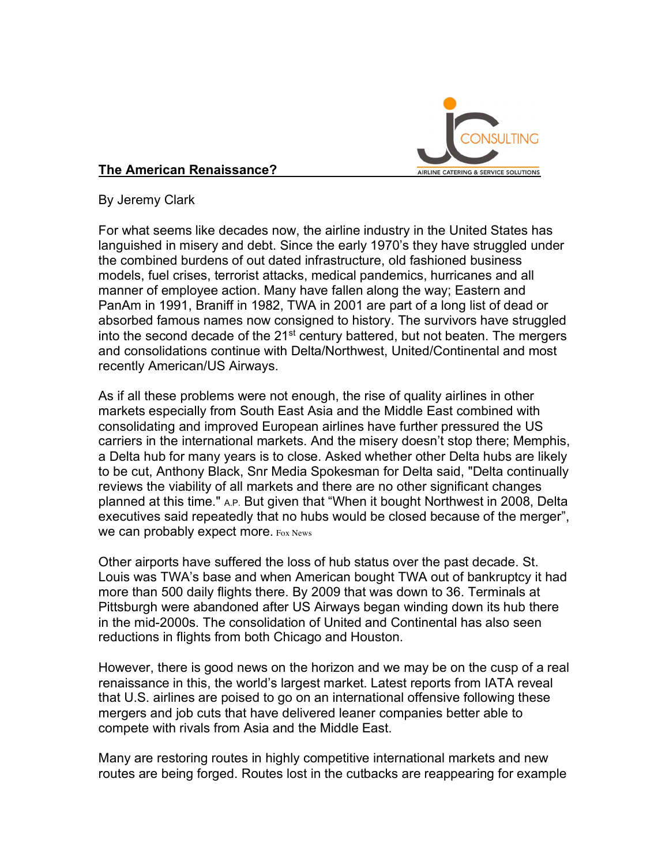

## **The American Renaissance?**

By Jeremy Clark

For what seems like decades now, the airline industry in the United States has languished in misery and debt. Since the early 1970's they have struggled under the combined burdens of out dated infrastructure, old fashioned business models, fuel crises, terrorist attacks, medical pandemics, hurricanes and all manner of employee action. Many have fallen along the way; Eastern and PanAm in 1991, Braniff in 1982, TWA in 2001 are part of a long list of dead or absorbed famous names now consigned to history. The survivors have struggled into the second decade of the  $21<sup>st</sup>$  century battered, but not beaten. The mergers and consolidations continue with Delta/Northwest, United/Continental and most recently American/US Airways.

As if all these problems were not enough, the rise of quality airlines in other markets especially from South East Asia and the Middle East combined with consolidating and improved European airlines have further pressured the US carriers in the international markets. And the misery doesn't stop there; Memphis, a Delta hub for many years is to close. Asked whether other Delta hubs are likely to be cut, Anthony Black, Snr Media Spokesman for Delta said, "Delta continually reviews the viability of all markets and there are no other significant changes planned at this time." A.P. But given that "When it bought Northwest in 2008, Delta executives said repeatedly that no hubs would be closed because of the merger", We can probably expect more. Fox News

Other airports have suffered the loss of hub status over the past decade. St. Louis was TWA's base and when American bought TWA out of bankruptcy it had more than 500 daily flights there. By 2009 that was down to 36. Terminals at Pittsburgh were abandoned after US Airways began winding down its hub there in the mid-2000s. The consolidation of United and Continental has also seen reductions in flights from both Chicago and Houston.

However, there is good news on the horizon and we may be on the cusp of a real renaissance in this, the world's largest market. Latest reports from IATA reveal that U.S. airlines are poised to go on an international offensive following these mergers and job cuts that have delivered leaner companies better able to compete with rivals from Asia and the Middle East.

Many are restoring routes in highly competitive international markets and new routes are being forged. Routes lost in the cutbacks are reappearing for example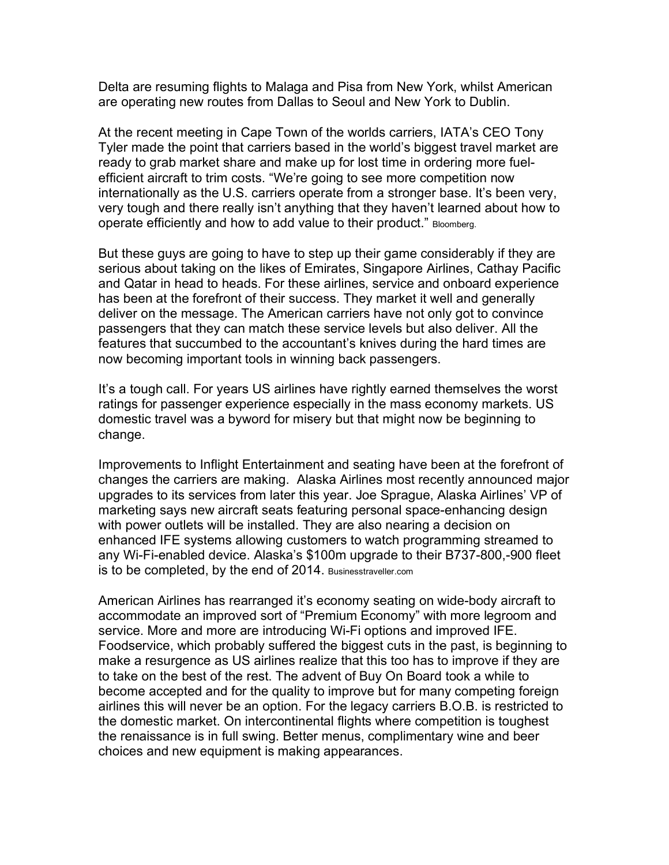Delta are resuming flights to Malaga and Pisa from New York, whilst American are operating new routes from Dallas to Seoul and New York to Dublin.

At the recent meeting in Cape Town of the worlds carriers, IATA's CEO Tony Tyler made the point that carriers based in the world's biggest travel market are ready to grab market share and make up for lost time in ordering more fuelefficient aircraft to trim costs. "We're going to see more competition now internationally as the U.S. carriers operate from a stronger base. It's been very, very tough and there really isn't anything that they haven't learned about how to operate efficiently and how to add value to their product." Bloomberg.

But these guys are going to have to step up their game considerably if they are serious about taking on the likes of Emirates, Singapore Airlines, Cathay Pacific and Qatar in head to heads. For these airlines, service and onboard experience has been at the forefront of their success. They market it well and generally deliver on the message. The American carriers have not only got to convince passengers that they can match these service levels but also deliver. All the features that succumbed to the accountant's knives during the hard times are now becoming important tools in winning back passengers.

It's a tough call. For years US airlines have rightly earned themselves the worst ratings for passenger experience especially in the mass economy markets. US domestic travel was a byword for misery but that might now be beginning to change.

Improvements to Inflight Entertainment and seating have been at the forefront of changes the carriers are making. Alaska Airlines most recently announced major upgrades to its services from later this year. Joe Sprague, Alaska Airlines' VP of marketing says new aircraft seats featuring personal space-enhancing design with power outlets will be installed. They are also nearing a decision on enhanced IFE systems allowing customers to watch programming streamed to any Wi-Fi-enabled device. Alaska's \$100m upgrade to their B737-800,-900 fleet is to be completed, by the end of 2014. Businesstraveller.com

American Airlines has rearranged it's economy seating on wide-body aircraft to accommodate an improved sort of "Premium Economy" with more legroom and service. More and more are introducing Wi-Fi options and improved IFE. Foodservice, which probably suffered the biggest cuts in the past, is beginning to make a resurgence as US airlines realize that this too has to improve if they are to take on the best of the rest. The advent of Buy On Board took a while to become accepted and for the quality to improve but for many competing foreign airlines this will never be an option. For the legacy carriers B.O.B. is restricted to the domestic market. On intercontinental flights where competition is toughest the renaissance is in full swing. Better menus, complimentary wine and beer choices and new equipment is making appearances.